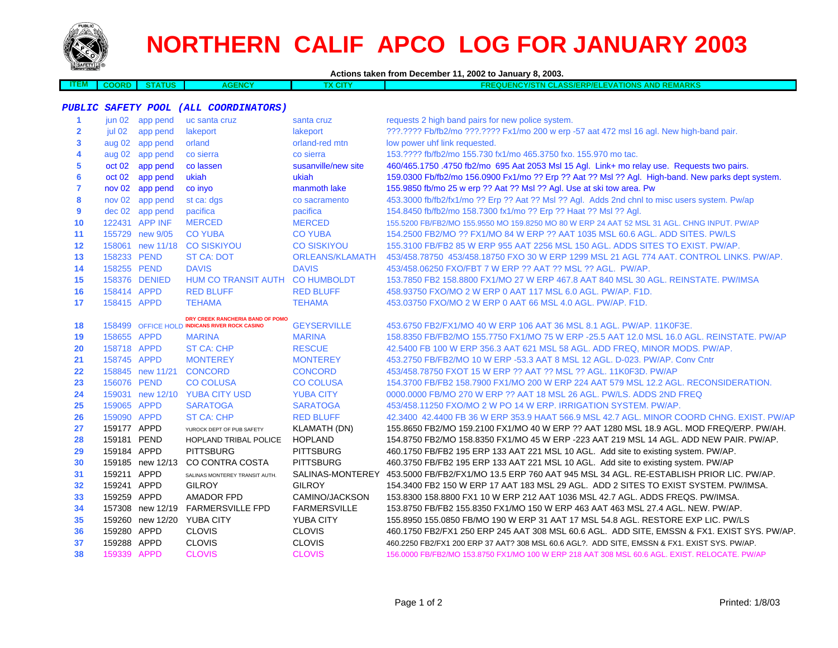

## **NORTHERN CALIF APCO LOG FOR JANUARY 2003**

| Actions taken from December 11, 2002 to January 8, 2003. |                   |                  |                                               |                        |                                                                                                         |  |
|----------------------------------------------------------|-------------------|------------------|-----------------------------------------------|------------------------|---------------------------------------------------------------------------------------------------------|--|
| <b>ITEM</b>                                              | <b>COORD</b>      | <b>STATUS</b>    | <b>AGENCY</b>                                 | TX CITY                | <b>FREQUENCY/STN CLASS/ERP/ELEVATIONS AND REMARKS</b>                                                   |  |
|                                                          |                   |                  |                                               |                        |                                                                                                         |  |
| <b>PUBLIC</b>                                            |                   |                  | SAFETY POOL (ALL COORDINATORS)                |                        |                                                                                                         |  |
| 1                                                        | jun 02            | app pend         | uc santa cruz                                 | santa cruz             | requests 2 high band pairs for new police system.                                                       |  |
| $\overline{2}$                                           | jul 02            | app pend         | lakeport                                      | lakeport               | ???.???? Fb/fb2/mo ???.???? Fx1/mo 200 w erp -57 aat 472 msl 16 agl. New high-band pair.                |  |
| 3                                                        |                   | aug 02 app pend  | orland                                        | orland-red mtn         | low power uhf link requested.                                                                           |  |
| 4                                                        |                   | aug 02 app pend  | co sierra                                     | co sierra              | 153.???? fb/fb2/mo 155.730 fx1/mo 465.3750 fxo. 155.970 mo tac.                                         |  |
| 5                                                        | oct 02            | app pend         | co lassen                                     | susanville/new site    | 460/465.1750 .4750 fb2/mo 695 Aat 2053 Msl 15 Agl. Link+ mo relay use. Requests two pairs.              |  |
| 6                                                        | oct 02            | app pend         | ukiah                                         | ukiah                  | 159.0300 Fb/fb2/mo 156.0900 Fx1/mo ?? Erp ?? Aat ?? Msl ?? Agl. High-band. New parks dept system.       |  |
| $\overline{7}$                                           | nov <sub>02</sub> | app pend         | co inyo                                       | manmoth lake           | 155.9850 fb/mo 25 w erp ?? Aat ?? Msl ?? Agl. Use at ski tow area. Pw                                   |  |
| 8                                                        |                   | nov 02 app pend  | st ca: dgs                                    | co sacramento          | 453.3000 fb/fb2/fx1/mo ?? Erp ?? Aat ?? Msl ?? Agl. Adds 2nd chnl to misc users system. Pw/ap           |  |
| 9                                                        |                   | dec 02 app pend  | pacifica                                      | pacifica               | 154.8450 fb/fb2/mo 158.7300 fx1/mo ?? Erp ?? Haat ?? Msl ?? Agl.                                        |  |
| 10                                                       |                   | 122431 APP INF   | <b>MERCED</b>                                 | <b>MERCED</b>          | 155.5200 FB/FB2/MO 155.9550 MO 159.8250 MO 80 W ERP 24 AAT 52 MSL 31 AGL. CHNG INPUT. PW/AP             |  |
| 11                                                       |                   | 155729 new 9/05  | <b>CO YUBA</b>                                | <b>CO YUBA</b>         | 154.2500 FB2/MO ?? FX1/MO 84 W ERP ?? AAT 1035 MSL 60.6 AGL. ADD SITES. PW/LS                           |  |
| 12                                                       |                   | 158061 new 11/18 | <b>CO SISKIYOU</b>                            | <b>CO SISKIYOU</b>     | 155.3100 FB/FB2 85 W ERP 955 AAT 2256 MSL 150 AGL. ADDS SITES TO EXIST. PW/AP.                          |  |
| 13                                                       | 158233 PEND       |                  | <b>ST CA: DOT</b>                             | <b>ORLEANS/KLAMATH</b> | 453/458.78750 453/458.18750 FXO 30 W ERP 1299 MSL 21 AGL 774 AAT. CONTROL LINKS. PW/AP.                 |  |
| 14                                                       | 158255 PEND       |                  | <b>DAVIS</b>                                  | <b>DAVIS</b>           | 453/458.06250 FXO/FBT 7 W ERP ?? AAT ?? MSL ?? AGL. PW/AP.                                              |  |
| 15                                                       |                   | 158376 DENIED    | HUM CO TRANSIT AUTH CO HUMBOLDT               |                        | 153.7850 FB2 158.8800 FX1/MO 27 W ERP 467.8 AAT 840 MSL 30 AGL. REINSTATE. PW/IMSA                      |  |
| 16                                                       | 158414 APPD       |                  | <b>RED BLUFF</b>                              | <b>RED BLUFF</b>       | 458.93750 FXO/MO 2 W ERP 0 AAT 117 MSL 6.0 AGL. PW/AP. F1D.                                             |  |
| 17                                                       | 158415 APPD       |                  | <b>TEHAMA</b>                                 | <b>TEHAMA</b>          | 453.03750 FXO/MO 2 W ERP 0 AAT 66 MSL 4.0 AGL. PW/AP. F1D.                                              |  |
|                                                          |                   |                  | DRY CREEK RANCHERIA BAND OF POMO              |                        |                                                                                                         |  |
| 18                                                       |                   |                  | 158499 OFFICE HOLD INDICANS RIVER ROCK CASINO | <b>GEYSERVILLE</b>     | 453.6750 FB2/FX1/MO 40 W ERP 106 AAT 36 MSL 8.1 AGL. PW/AP. 11K0F3E.                                    |  |
| 19                                                       | 158655 APPD       |                  | <b>MARINA</b>                                 | <b>MARINA</b>          | 158.8350 FB/FB2/MO 155.7750 FX1/MO 75 W ERP -25.5 AAT 12.0 MSL 16.0 AGL. REINSTATE. PW/AP               |  |
| 20                                                       | 158718 APPD       |                  | <b>ST CA: CHP</b>                             | <b>RESCUE</b>          | 42.5400 FB 100 W ERP 356.3 AAT 621 MSL 58 AGL. ADD FREQ, MINOR MODS, PW/AP.                             |  |
| 21                                                       | 158745 APPD       |                  | <b>MONTEREY</b>                               | <b>MONTEREY</b>        | 453.2750 FB/FB2/MO 10 W ERP -53.3 AAT 8 MSL 12 AGL. D-023. PW/AP. Conv Cntr                             |  |
| 22                                                       |                   | 158845 new 11/21 | <b>CONCORD</b>                                | <b>CONCORD</b>         | 453/458.78750 FXOT 15 W ERP ?? AAT ?? MSL ?? AGL. 11K0F3D. PW/AP                                        |  |
| 23                                                       | 156076 PEND       |                  | <b>CO COLUSA</b>                              | <b>CO COLUSA</b>       | 154.3700 FB/FB2 158.7900 FX1/MO 200 W ERP 224 AAT 579 MSL 12.2 AGL. RECONSIDERATION.                    |  |
| 24                                                       |                   | 159031 new 12/10 | <b>YUBA CITY USD</b>                          | <b>YUBA CITY</b>       | 0000.0000 FB/MO 270 W ERP ?? AAT 18 MSL 26 AGL. PW/LS. ADDS 2ND FREQ                                    |  |
| 25                                                       | 159065 APPD       |                  | <b>SARATOGA</b>                               | <b>SARATOGA</b>        | 453/458.11250 FXO/MO 2 W PO 14 W ERP. IRRIGATION SYSTEM. PW/AP.                                         |  |
| 26                                                       | 159090 APPD       |                  | <b>ST CA: CHP</b>                             | <b>RED BLUFF</b>       | 42,3400 42,4400 FB 36 W ERP 353.9 HAAT 566.9 MSL 42.7 AGL, MINOR COORD CHNG, EXIST, PW/AP               |  |
| 27                                                       | 159177 APPD       |                  | YUROCK DEPT OF PUB SAFETY                     | <b>KLAMATH (DN)</b>    | 155.8650 FB2/MO 159.2100 FX1/MO 40 W ERP ?? AAT 1280 MSL 18.9 AGL. MOD FREQ/ERP. PW/AH.                 |  |
| 28                                                       | 159181 PEND       |                  | HOPLAND TRIBAL POLICE                         | <b>HOPLAND</b>         | 154.8750 FB2/MO 158.8350 FX1/MO 45 W ERP -223 AAT 219 MSL 14 AGL. ADD NEW PAIR. PW/AP.                  |  |
| 29                                                       | 159184 APPD       |                  | <b>PITTSBURG</b>                              | <b>PITTSBURG</b>       | 460.1750 FB/FB2 195 ERP 133 AAT 221 MSL 10 AGL. Add site to existing system. PW/AP.                     |  |
| 30                                                       |                   | 159185 new 12/13 | CO CONTRA COSTA                               | <b>PITTSBURG</b>       | 460.3750 FB/FB2 195 ERP 133 AAT 221 MSL 10 AGL. Add site to existing system. PW/AP                      |  |
| 31                                                       | 159211 APPD       |                  | SALINAS MONTEREY TRANSIT AUTH.                |                        | SALINAS-MONTEREY 453.5000 FB/FB2/FX1/MO 13.5 ERP 760 AAT 945 MSL 34 AGL. RE-ESTABLISH PRIOR LIC. PW/AP. |  |
| 32                                                       | 159241 APPD       |                  | <b>GILROY</b>                                 | <b>GILROY</b>          | 154.3400 FB2 150 W ERP 17 AAT 183 MSL 29 AGL. ADD 2 SITES TO EXIST SYSTEM. PW/IMSA.                     |  |
| 33                                                       | 159259 APPD       |                  | <b>AMADOR FPD</b>                             | CAMINO/JACKSON         | 153.8300 158.8800 FX1 10 W ERP 212 AAT 1036 MSL 42.7 AGL. ADDS FREQS. PW/IMSA.                          |  |
| 34                                                       |                   | 157308 new 12/19 | <b>FARMERSVILLE FPD</b>                       | <b>FARMERSVILLE</b>    | 153.8750 FB/FB2 155.8350 FX1/MO 150 W ERP 463 AAT 463 MSL 27.4 AGL. NEW. PW/AP.                         |  |
| 35                                                       |                   | 159260 new 12/20 | <b>YUBA CITY</b>                              | <b>YUBA CITY</b>       | 155.8950 155.0850 FB/MO 190 W ERP 31 AAT 17 MSL 54.8 AGL. RESTORE EXP LIC. PW/LS                        |  |
| 36                                                       | 159280 APPD       |                  | <b>CLOVIS</b>                                 | <b>CLOVIS</b>          | 460.1750 FB2/FX1 250 ERP 245 AAT 308 MSL 60.6 AGL. ADD SITE, EMSSN & FX1. EXIST SYS. PW/AP.             |  |
| 37                                                       | 159288 APPD       |                  | <b>CLOVIS</b>                                 | <b>CLOVIS</b>          | 460.2250 FB2/FX1 200 ERP 37 AAT? 308 MSL 60.6 AGL?. ADD SITE, EMSSN & FX1. EXIST SYS. PW/AP.            |  |
| 38                                                       | 159339 APPD       |                  | <b>CLOVIS</b>                                 | <b>CLOVIS</b>          | 156,0000 FB/FB2/MO 153,8750 FX1/MO 100 W ERP 218 AAT 308 MSL 60.6 AGL, EXIST, RELOCATE, PW/AP           |  |